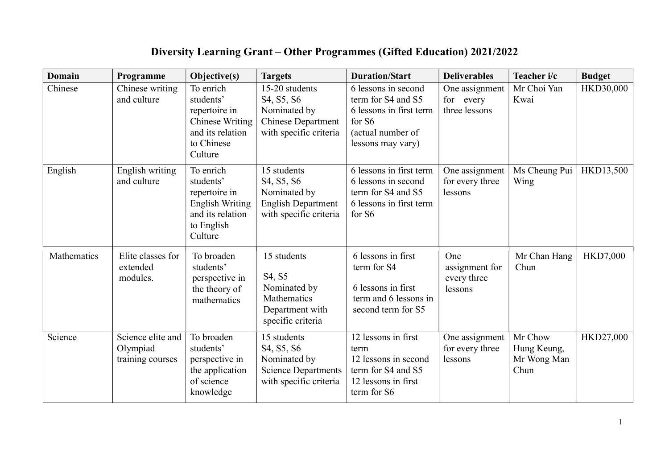## Diversity Learning Grant – Other Programmes (Gifted Education) 2021/2022

| <b>Domain</b> | Programme                                         | Objective(s)                                                                                                   | <b>Targets</b>                                                                                                                          | <b>Duration/Start</b>                                                                                                    | <b>Deliverables</b>                             | Teacher i/c                                   | <b>Budget</b>   |
|---------------|---------------------------------------------------|----------------------------------------------------------------------------------------------------------------|-----------------------------------------------------------------------------------------------------------------------------------------|--------------------------------------------------------------------------------------------------------------------------|-------------------------------------------------|-----------------------------------------------|-----------------|
| Chinese       | Chinese writing<br>and culture                    | To enrich<br>students'<br>repertoire in<br><b>Chinese Writing</b><br>and its relation<br>to Chinese<br>Culture | 15-20 students<br>S4, S5, S6<br>Nominated by<br><b>Chinese Department</b><br>with specific criteria                                     | 6 lessons in second<br>term for S4 and S5<br>6 lessons in first term<br>for S6<br>(actual number of<br>lessons may vary) | One assignment<br>for every<br>three lessons    | Mr Choi Yan<br>Kwai                           | HKD30,000       |
| English       | English writing<br>and culture                    | To enrich<br>students'<br>repertoire in<br>English Writing<br>and its relation<br>to English<br>Culture        | 15 students<br>S <sub>4</sub> , S <sub>5</sub> , S <sub>6</sub><br>Nominated by<br><b>English Department</b><br>with specific criteria  | 6 lessons in first term<br>6 lessons in second<br>term for S4 and S5<br>6 lessons in first term<br>for S6                | One assignment<br>for every three<br>lessons    | Ms Cheung Pui<br>Wing                         | HKD13,500       |
| Mathematics   | Elite classes for<br>extended<br>modules.         | To broaden<br>students'<br>perspective in<br>the theory of<br>mathematics                                      | 15 students<br>S4, S5<br>Nominated by<br>Mathematics<br>Department with<br>specific criteria                                            | 6 lessons in first<br>term for S4<br>6 lessons in first<br>term and 6 lessons in<br>second term for S5                   | One<br>assignment for<br>every three<br>lessons | Mr Chan Hang<br>Chun                          | <b>HKD7,000</b> |
| Science       | Science elite and<br>Olympiad<br>training courses | To broaden<br>students'<br>perspective in<br>the application<br>of science<br>knowledge                        | 15 students<br>S <sub>4</sub> , S <sub>5</sub> , S <sub>6</sub><br>Nominated by<br><b>Science Departments</b><br>with specific criteria | 12 lessons in first<br>term<br>12 lessons in second<br>term for S4 and S5<br>12 lessons in first<br>term for S6          | One assignment<br>for every three<br>lessons    | Mr Chow<br>Hung Keung,<br>Mr Wong Man<br>Chun | HKD27,000       |